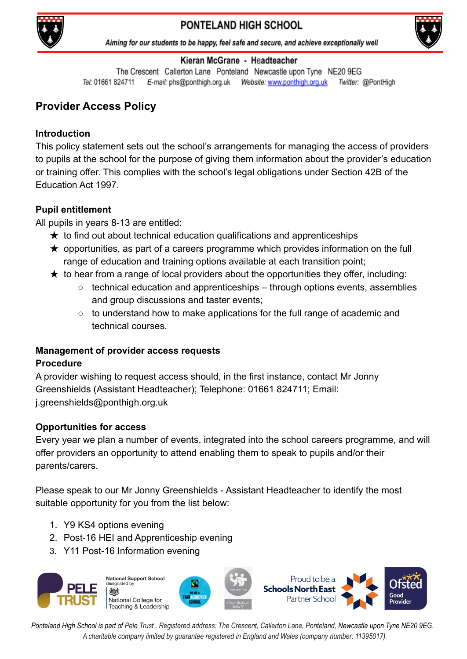

# PONTELAND HIGH SCHOOL



Aiming for our students to be happy, feel safe and secure, and achieve exceptionally well

#### Kieran McGrane - Headteacher

The Crescent Callerton Lane Ponteland Newcastle upon Tyne NE20 9EG Tel: 01661 824711 E-mail: phs@ponthigh.org.uk Website: www.ponthigh.org.uk Twitter: @PontHigh

# **Provider Access Policy**

#### **Introduction**

This policy statement sets out the school's arrangements for managing the access of providers to pupils at the school for the purpose of giving them information about the provider's education or training offer. This complies with the school's legal obligations under Section 42B of the Education Act 1997.

### **Pupil entitlement**

All pupils in years 8-13 are entitled:

- $\star$  to find out about technical education qualifications and apprenticeships
- $\star$  opportunities, as part of a careers programme which provides information on the full range of education and training options available at each transition point;
- $\star$  to hear from a range of local providers about the opportunities they offer, including:
	- $\circ$  technical education and apprenticeships through options events, assemblies and group discussions and taster events;
	- to understand how to make applications for the full range of academic and technical courses.

## **Management of provider access requests Procedure**

A provider wishing to request access should, in the first instance, contact Mr Jonny Greenshields (Assistant Headteacher); Telephone: 01661 824711; Email: j.greenshields@ponthigh.org.uk

### **Opportunities for access**

Every year we plan a number of events, integrated into the school careers programme, and will offer providers an opportunity to attend enabling them to speak to pupils and/or their parents/carers.

Please speak to our Mr Jonny Greenshields - Assistant Headteacher to identify the most suitable opportunity for you from the list below:

- 1. Y9 KS4 options evening
- 2. Post-16 HEI and Apprenticeship evening
- 3. Y11 Post-16 Information evening



Ponteland High School is part of Pele Trust. Registered address: The Crescent, Callerton Lane, Ponteland, Newcastle upon Tyne NE20 9EG. *A charitable company limited by guarantee registered in England and Wales (company number: 11395017).*